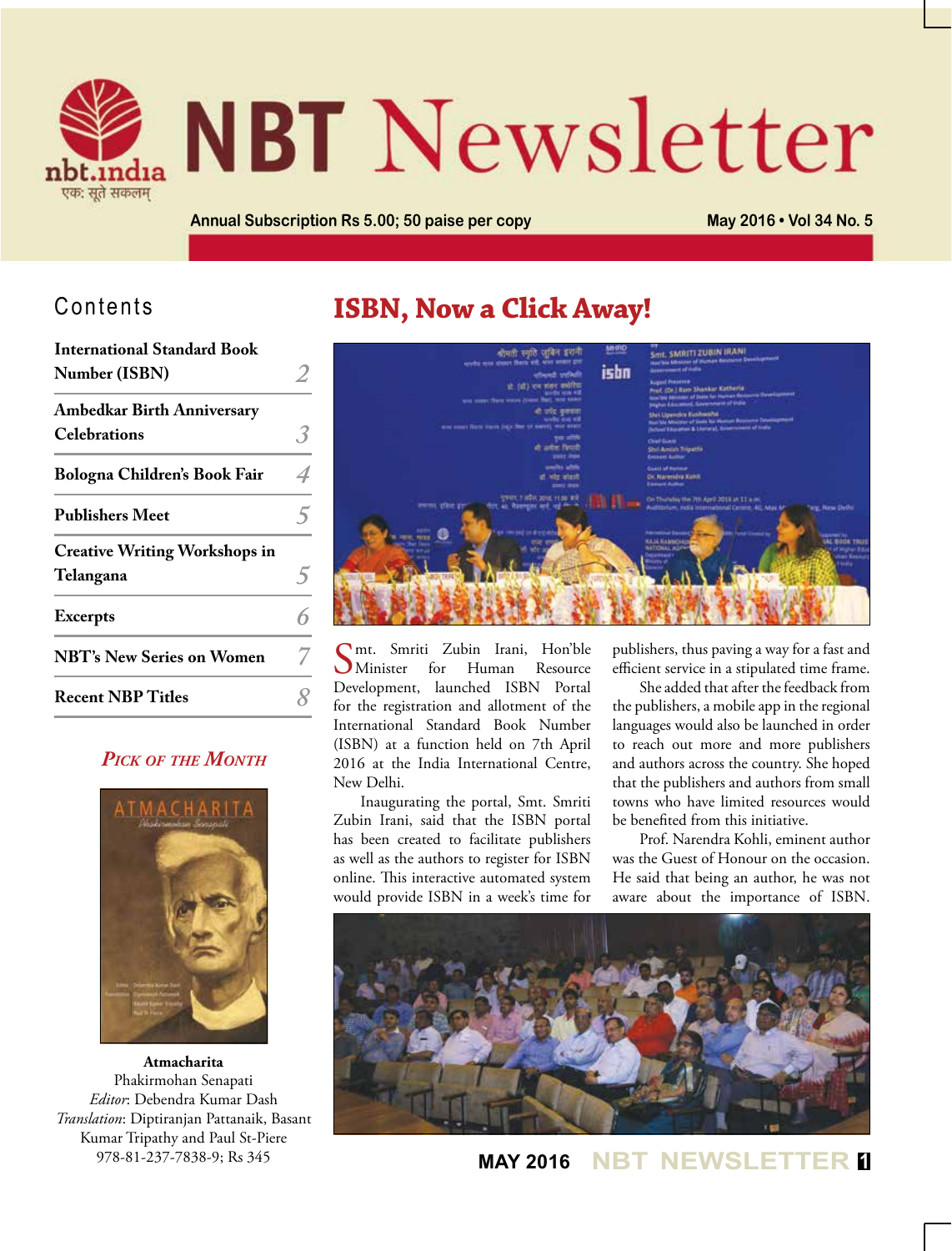

# **NBT** Newsletter

**Annual Subscription Rs 5.00; 50 paise per copy May 2016 • Vol 34 No. 5**

#### Contents

| International Standard Book          |   |
|--------------------------------------|---|
| Number (ISBN)                        |   |
| Ambedkar Birth Anniversary           |   |
| <b>Celebrations</b>                  |   |
| Bologna Children's Book Fair         |   |
| <b>Publishers Meet</b>               | ⇘ |
| <b>Creative Writing Workshops in</b> |   |
| Telangana                            | 5 |
| <b>Excerpts</b>                      | հ |
| <b>NBT's New Series on Women</b>     |   |
| <b>Recent NBP Titles</b>             |   |

#### *Pick of the Month*



**Atmacharita** Phakirmohan Senapati *Editor*: Debendra Kumar Dash *Translation*: Diptiranjan Pattanaik, Basant Kumar Tripathy and Paul St-Piere 978-81-237-7838-9; Rs 345

## **ISBN, Now a Click Away!**



Smt. Smriti Zubin Irani, Hon'ble<br>SMinister for Human Resource  $\bigcup$  Minister for Human Development, launched ISBN Portal for the registration and allotment of the International Standard Book Number (ISBN) at a function held on 7th April 2016 at the India International Centre, New Delhi.

Inaugurating the portal, Smt. Smriti Zubin Irani, said that the ISBN portal has been created to facilitate publishers as well as the authors to register for ISBN online. This interactive automated system would provide ISBN in a week's time for

publishers, thus paving a way for a fast and efficient service in a stipulated time frame.

She added that after the feedback from the publishers, a mobile app in the regional languages would also be launched in order to reach out more and more publishers and authors across the country. She hoped that the publishers and authors from small towns who have limited resources would be benefited from this initiative.

Prof. Narendra Kohli, eminent author was the Guest of Honour on the occasion. He said that being an author, he was not aware about the importance of ISBN.



**MAY 2016 NBT NEWSLETTER <sup>1</sup>**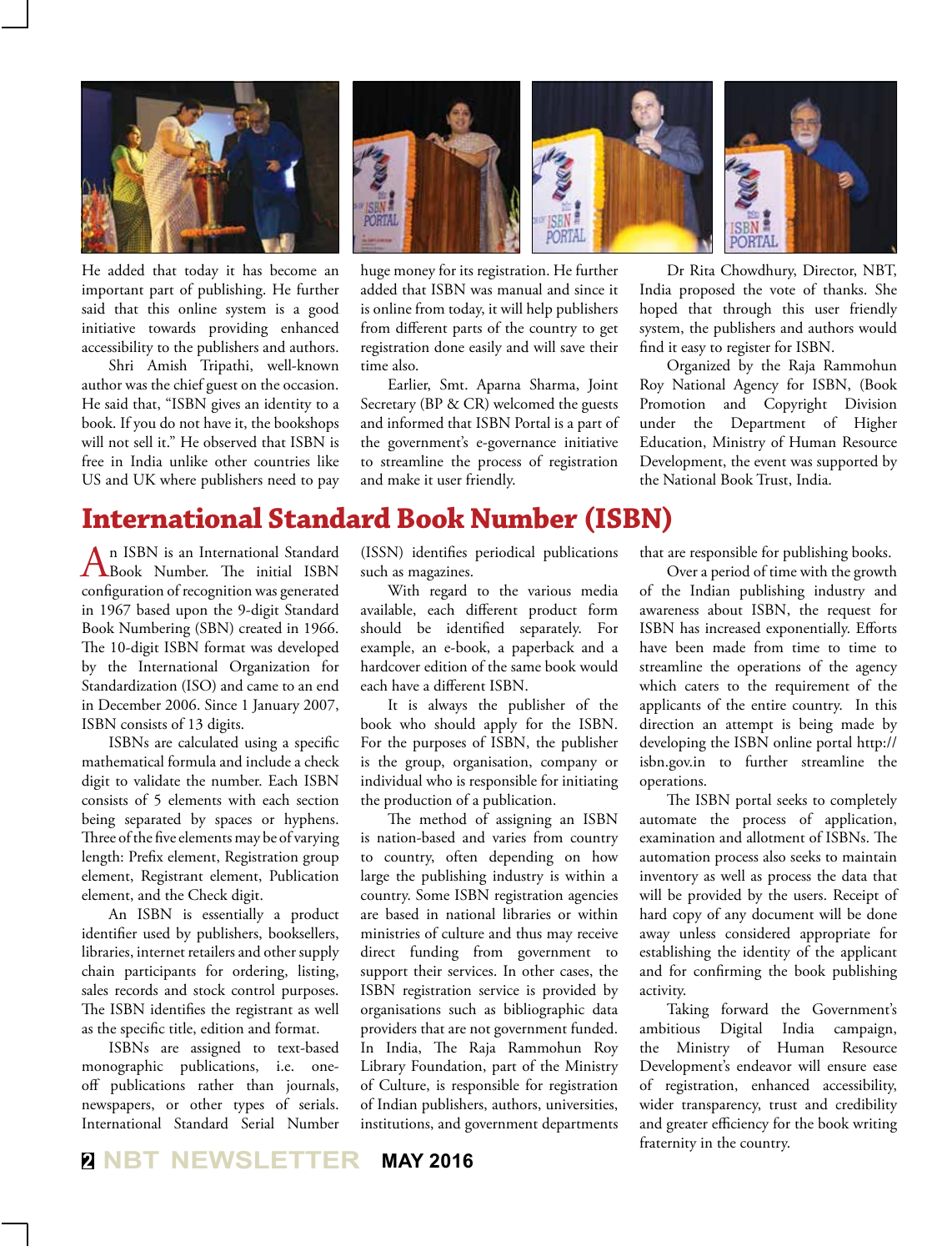

He added that today it has become an important part of publishing. He further said that this online system is a good initiative towards providing enhanced accessibility to the publishers and authors.

Shri Amish Tripathi, well-known author was the chief guest on the occasion. He said that, "ISBN gives an identity to a book. If you do not have it, the bookshops will not sell it." He observed that ISBN is free in India unlike other countries like US and UK where publishers need to pay



huge money for its registration. He further added that ISBN was manual and since it is online from today, it will help publishers from different parts of the country to get registration done easily and will save their time also.

Earlier, Smt. Aparna Sharma, Joint Secretary (BP & CR) welcomed the guests and informed that ISBN Portal is a part of the government's e-governance initiative to streamline the process of registration and make it user friendly.

Dr Rita Chowdhury, Director, NBT, India proposed the vote of thanks. She hoped that through this user friendly system, the publishers and authors would find it easy to register for ISBN.

Organized by the Raja Rammohun Roy National Agency for ISBN, (Book Promotion and Copyright Division under the Department of Higher Education, Ministry of Human Resource Development, the event was supported by the National Book Trust, India.

## **International Standard Book Number (ISBN)**

An ISBN is an International Standard Book Number. The initial ISBN configuration of recognition was generated in 1967 based upon the 9-digit Standard Book Numbering (SBN) created in 1966. The 10-digit ISBN format was developed by the International Organization for Standardization (ISO) and came to an end in December 2006. Since 1 January 2007, ISBN consists of 13 digits.

ISBNs are calculated using a specific mathematical formula and include a check digit to validate the number. Each ISBN consists of 5 elements with each section being separated by spaces or hyphens. Three of the five elements may be of varying length: Prefix element, Registration group element, Registrant element, Publication element, and the Check digit.

An ISBN is essentially a product identifier used by publishers, booksellers, libraries, internet retailers and other supply chain participants for ordering, listing, sales records and stock control purposes. The ISBN identifies the registrant as well as the specific title, edition and format.

ISBNs are assigned to text-based monographic publications, i.e. oneoff publications rather than journals, newspapers, or other types of serials. International Standard Serial Number

(ISSN) identifies periodical publications such as magazines.

With regard to the various media available, each different product form should be identified separately. For example, an e-book, a paperback and a hardcover edition of the same book would each have a different ISBN.

It is always the publisher of the book who should apply for the ISBN. For the purposes of ISBN, the publisher is the group, organisation, company or individual who is responsible for initiating the production of a publication.

The method of assigning an ISBN is nation-based and varies from country to country, often depending on how large the publishing industry is within a country. Some ISBN registration agencies are based in national libraries or within ministries of culture and thus may receive direct funding from government to support their services. In other cases, the ISBN registration service is provided by organisations such as bibliographic data providers that are not government funded. In India, The Raja Rammohun Roy Library Foundation, part of the Ministry of Culture, is responsible for registration of Indian publishers, authors, universities, institutions, and government departments that are responsible for publishing books.

Over a period of time with the growth of the Indian publishing industry and awareness about ISBN, the request for ISBN has increased exponentially. Efforts have been made from time to time to streamline the operations of the agency which caters to the requirement of the applicants of the entire country. In this direction an attempt is being made by developing the ISBN online portal http:// isbn.gov.in to further streamline the operations.

The ISBN portal seeks to completely automate the process of application, examination and allotment of ISBNs. The automation process also seeks to maintain inventory as well as process the data that will be provided by the users. Receipt of hard copy of any document will be done away unless considered appropriate for establishing the identity of the applicant and for confirming the book publishing activity.

Taking forward the Government's ambitious Digital India campaign, the Ministry of Human Resource Development's endeavor will ensure ease of registration, enhanced accessibility, wider transparency, trust and credibility and greater efficiency for the book writing fraternity in the country.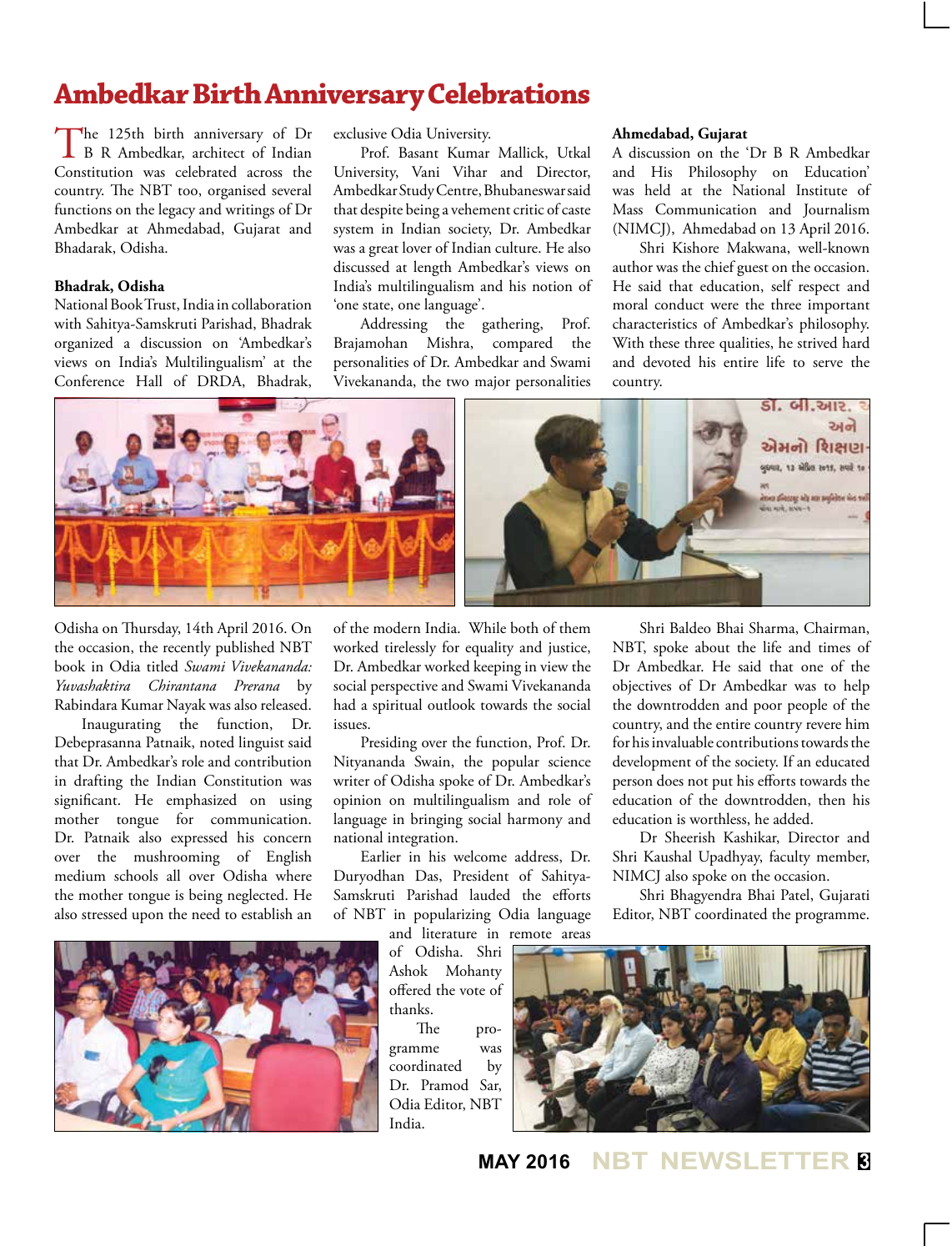## **Ambedkar Birth Anniversary Celebrations**

The 125th birth anniversary of Dr<br>B R Ambedkar, architect of Indian Constitution was celebrated across the country. The NBT too, organised several functions on the legacy and writings of Dr Ambedkar at Ahmedabad, Gujarat and Bhadarak, Odisha.

#### **Bhadrak, Odisha**

National Book Trust, India in collaboration with Sahitya-Samskruti Parishad, Bhadrak organized a discussion on 'Ambedkar's views on India's Multilingualism' at the Conference Hall of DRDA, Bhadrak, exclusive Odia University.

Prof. Basant Kumar Mallick, Utkal University, Vani Vihar and Director, Ambedkar Study Centre, Bhubaneswar said that despite being a vehement critic of caste system in Indian society, Dr. Ambedkar was a great lover of Indian culture. He also discussed at length Ambedkar's views on India's multilingualism and his notion of 'one state, one language'.

Addressing the gathering, Prof. Brajamohan Mishra, compared the personalities of Dr. Ambedkar and Swami Vivekananda, the two major personalities

#### **Ahmedabad, Gujarat**

A discussion on the 'Dr B R Ambedkar and His Philosophy on Education' was held at the National Institute of Mass Communication and Journalism (NIMCJ), Ahmedabad on 13 April 2016.

Shri Kishore Makwana, well-known author was the chief guest on the occasion. He said that education, self respect and moral conduct were the three important characteristics of Ambedkar's philosophy. With these three qualities, he strived hard and devoted his entire life to serve the country.



Odisha on Thursday, 14th April 2016. On the occasion, the recently published NBT book in Odia titled *Swami Vivekananda: Yuvashaktira Chirantana Prerana* by Rabindara Kumar Nayak was also released.

Inaugurating the function, Dr. Debeprasanna Patnaik, noted linguist said that Dr. Ambedkar's role and contribution in drafting the Indian Constitution was significant. He emphasized on using mother tongue for communication. Dr. Patnaik also expressed his concern over the mushrooming of English medium schools all over Odisha where the mother tongue is being neglected. He also stressed upon the need to establish an of the modern India. While both of them worked tirelessly for equality and justice, Dr. Ambedkar worked keeping in view the social perspective and Swami Vivekananda had a spiritual outlook towards the social issues.

Presiding over the function, Prof. Dr. Nityananda Swain, the popular science writer of Odisha spoke of Dr. Ambedkar's opinion on multilingualism and role of language in bringing social harmony and national integration.

Earlier in his welcome address, Dr. Duryodhan Das, President of Sahitya-Samskruti Parishad lauded the efforts of NBT in popularizing Odia language

NBT, spoke about the life and times of Dr Ambedkar. He said that one of the objectives of Dr Ambedkar was to help the downtrodden and poor people of the country, and the entire country revere him for his invaluable contributions towards the development of the society. If an educated person does not put his efforts towards the education of the downtrodden, then his education is worthless, he added.

Shri Baldeo Bhai Sharma, Chairman,

Dr Sheerish Kashikar, Director and Shri Kaushal Upadhyay, faculty member, NIMCJ also spoke on the occasion.

Shri Bhagyendra Bhai Patel, Gujarati Editor, NBT coordinated the programme.

of Odisha. Shri Ashok Mohanty offered the vote of thanks. The pro-

gramme was coordinated by Dr. Pramod Sar, Odia Editor, NBT India.





**MAY 2016 NBT NEWSLETTER <sup>3</sup>**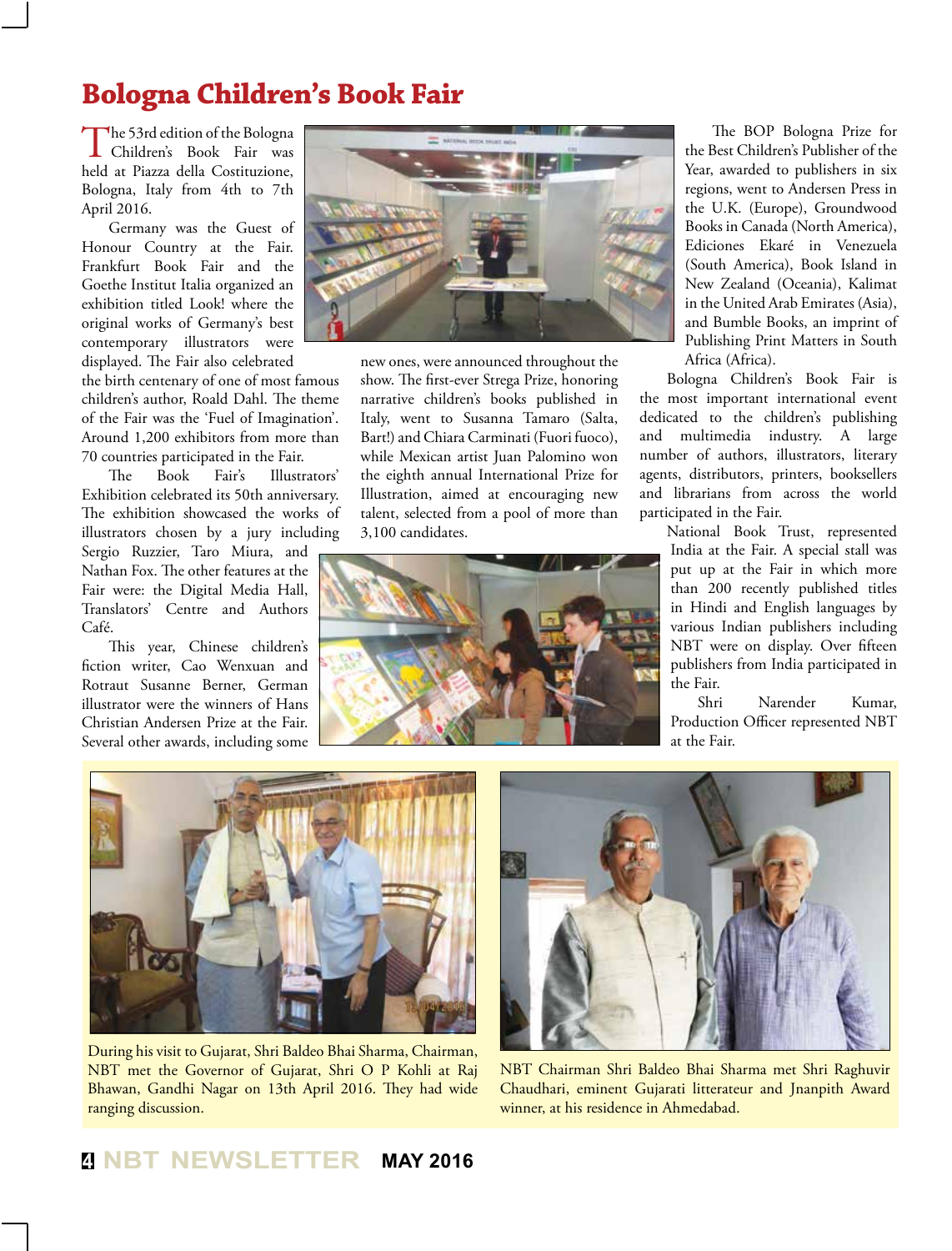## **Bologna Children's Book Fair**

The 53rd edition of the Bologna<br>Children's Book Fair was held at Piazza della Costituzione, Bologna, Italy from 4th to 7th April 2016.

Germany was the Guest of Honour Country at the Fair. Frankfurt Book Fair and the Goethe Institut Italia organized an exhibition titled Look! where the original works of Germany's best contemporary illustrators were displayed. The Fair also celebrated

the birth centenary of one of most famous children's author, Roald Dahl. The theme of the Fair was the 'Fuel of Imagination'. Around 1,200 exhibitors from more than 70 countries participated in the Fair.

The Book Fair's Illustrators' Exhibition celebrated its 50th anniversary. The exhibition showcased the works of illustrators chosen by a jury including

Sergio Ruzzier, Taro Miura, and Nathan Fox. The other features at the Fair were: the Digital Media Hall, Translators' Centre and Authors Café.

This year, Chinese children's fiction writer, Cao Wenxuan and Rotraut Susanne Berner, German illustrator were the winners of Hans Christian Andersen Prize at the Fair. Several other awards, including some



new ones, were announced throughout the show. The first-ever Strega Prize, honoring narrative children's books published in Italy, went to Susanna Tamaro (Salta, Bart!) and Chiara Carminati (Fuori fuoco), while Mexican artist Juan Palomino won the eighth annual International Prize for Illustration, aimed at encouraging new talent, selected from a pool of more than 3,100 candidates.



The BOP Bologna Prize for the Best Children's Publisher of the Year, awarded to publishers in six regions, went to Andersen Press in the U.K. (Europe), Groundwood Books in Canada (North America), Ediciones Ekaré in Venezuela (South America), Book Island in New Zealand (Oceania), Kalimat in the United Arab Emirates (Asia), and Bumble Books, an imprint of Publishing Print Matters in South Africa (Africa).

Bologna Children's Book Fair is the most important international event dedicated to the children's publishing and multimedia industry. A large number of authors, illustrators, literary agents, distributors, printers, booksellers and librarians from across the world participated in the Fair.

National Book Trust, represented India at the Fair. A special stall was put up at the Fair in which more than 200 recently published titles in Hindi and English languages by various Indian publishers including NBT were on display. Over fifteen publishers from India participated in the Fair.

Shri Narender Kumar, Production Officer represented NBT at the Fair.



During his visit to Gujarat, Shri Baldeo Bhai Sharma, Chairman, NBT met the Governor of Gujarat, Shri O P Kohli at Raj Bhawan, Gandhi Nagar on 13th April 2016. They had wide ranging discussion.



NBT Chairman Shri Baldeo Bhai Sharma met Shri Raghuvir Chaudhari, eminent Gujarati litterateur and Jnanpith Award winner, at his residence in Ahmedabad.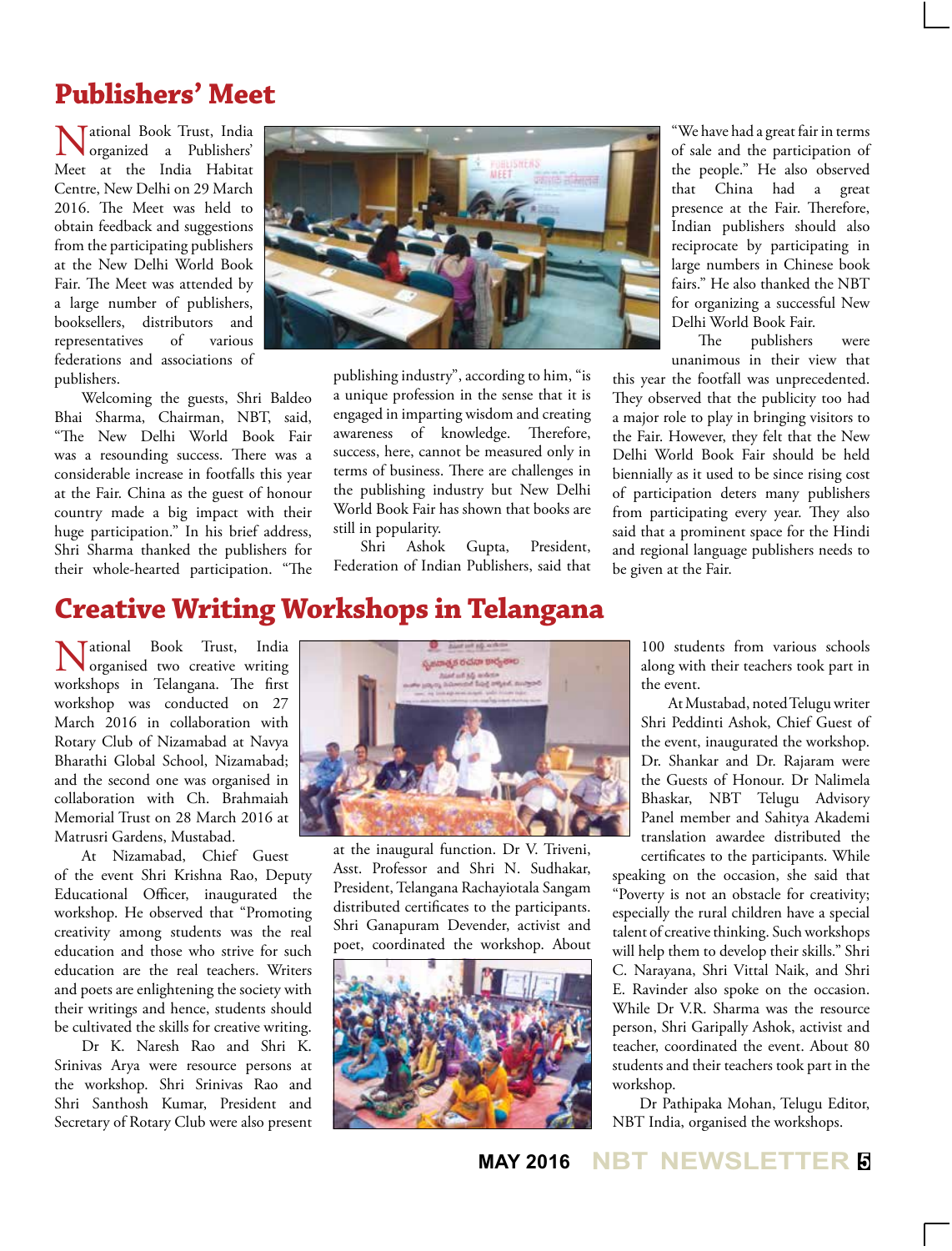## **Publishers' Meet**

Tational Book Trust, India organized a Publishers' Meet at the India Habitat Centre, New Delhi on 29 March 2016. The Meet was held to obtain feedback and suggestions from the participating publishers at the New Delhi World Book Fair. The Meet was attended by a large number of publishers, booksellers, distributors and representatives of various federations and associations of publishers.

Welcoming the guests, Shri Baldeo Bhai Sharma, Chairman, NBT, said, "The New Delhi World Book Fair was a resounding success. There was a considerable increase in footfalls this year at the Fair. China as the guest of honour country made a big impact with their huge participation." In his brief address, Shri Sharma thanked the publishers for their whole-hearted participation. "The



publishing industry", according to him, "is a unique profession in the sense that it is engaged in imparting wisdom and creating awareness of knowledge. Therefore, success, here, cannot be measured only in terms of business. There are challenges in the publishing industry but New Delhi World Book Fair has shown that books are still in popularity.

Shri Ashok Gupta, President, Federation of Indian Publishers, said that "We have had a great fair in terms of sale and the participation of the people." He also observed that China had a great presence at the Fair. Therefore, Indian publishers should also reciprocate by participating in large numbers in Chinese book fairs." He also thanked the NBT for organizing a successful New Delhi World Book Fair.

The publishers were unanimous in their view that

this year the footfall was unprecedented. They observed that the publicity too had a major role to play in bringing visitors to the Fair. However, they felt that the New Delhi World Book Fair should be held biennially as it used to be since rising cost of participation deters many publishers from participating every year. They also said that a prominent space for the Hindi and regional language publishers needs to be given at the Fair.

## **Creative Writing Workshops in Telangana**

National Book Trust, India organised two creative writing workshops in Telangana. The first workshop was conducted on 27 March 2016 in collaboration with Rotary Club of Nizamabad at Navya Bharathi Global School, Nizamabad; and the second one was organised in collaboration with Ch. Brahmaiah Memorial Trust on 28 March 2016 at Matrusri Gardens, Mustabad.

At Nizamabad, Chief Guest of the event Shri Krishna Rao, Deputy Educational Officer, inaugurated the workshop. He observed that "Promoting creativity among students was the real education and those who strive for such education are the real teachers. Writers and poets are enlightening the society with their writings and hence, students should be cultivated the skills for creative writing.

Dr K. Naresh Rao and Shri K. Srinivas Arya were resource persons at the workshop. Shri Srinivas Rao and Shri Santhosh Kumar, President and Secretary of Rotary Club were also present



at the inaugural function. Dr V. Triveni, Asst. Professor and Shri N. Sudhakar, President, Telangana Rachayiotala Sangam distributed certificates to the participants. Shri Ganapuram Devender, activist and poet, coordinated the workshop. About



100 students from various schools along with their teachers took part in the event.

At Mustabad, noted Telugu writer Shri Peddinti Ashok, Chief Guest of the event, inaugurated the workshop. Dr. Shankar and Dr. Rajaram were the Guests of Honour. Dr Nalimela Bhaskar, NBT Telugu Advisory Panel member and Sahitya Akademi translation awardee distributed the certificates to the participants. While

speaking on the occasion, she said that "Poverty is not an obstacle for creativity; especially the rural children have a special talent of creative thinking. Such workshops will help them to develop their skills." Shri C. Narayana, Shri Vittal Naik, and Shri E. Ravinder also spoke on the occasion. While Dr V.R. Sharma was the resource person, Shri Garipally Ashok, activist and teacher, coordinated the event. About 80 students and their teachers took part in the workshop.

Dr Pathipaka Mohan, Telugu Editor, NBT India, organised the workshops.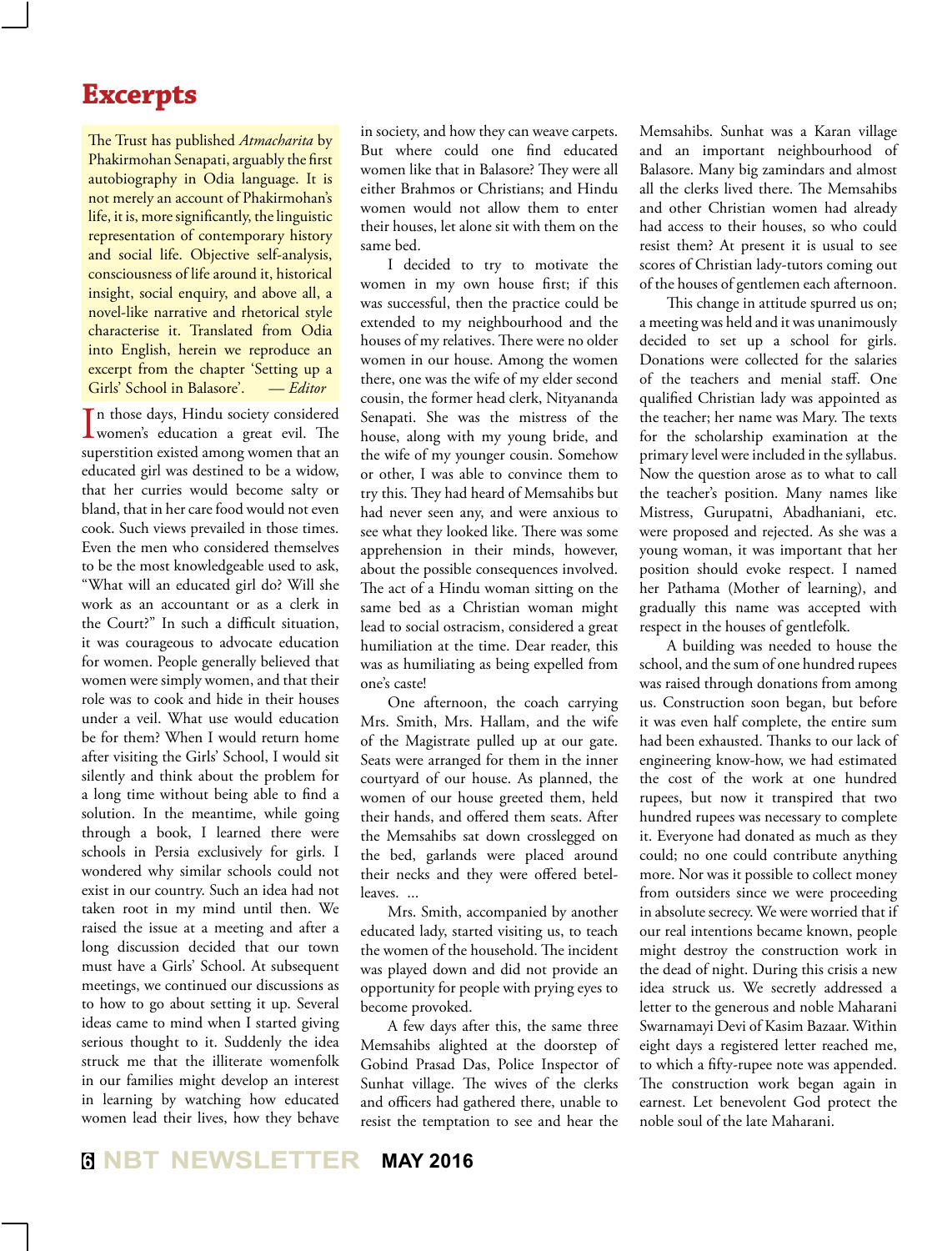### **Excerpts**

The Trust has published *Atmacharita* by Phakirmohan Senapati, arguably the first autobiography in Odia language. It is not merely an account of Phakirmohan's life, it is, more significantly, the linguistic representation of contemporary history and social life. Objective self-analysis, consciousness of life around it, historical insight, social enquiry, and above all, a novel-like narrative and rhetorical style characterise it. Translated from Odia into English, herein we reproduce an excerpt from the chapter 'Setting up a Girls' School in Balasore'. — *Editor*

In those days, Hindu society considered<br>women's education a great evil. The n those days, Hindu society considered superstition existed among women that an educated girl was destined to be a widow, that her curries would become salty or bland, that in her care food would not even cook. Such views prevailed in those times. Even the men who considered themselves to be the most knowledgeable used to ask, "What will an educated girl do? Will she work as an accountant or as a clerk in the Court?" In such a difficult situation, it was courageous to advocate education for women. People generally believed that women were simply women, and that their role was to cook and hide in their houses under a veil. What use would education be for them? When I would return home after visiting the Girls' School, I would sit silently and think about the problem for a long time without being able to find a solution. In the meantime, while going through a book, I learned there were schools in Persia exclusively for girls. I wondered why similar schools could not exist in our country. Such an idea had not taken root in my mind until then. We raised the issue at a meeting and after a long discussion decided that our town must have a Girls' School. At subsequent meetings, we continued our discussions as to how to go about setting it up. Several ideas came to mind when I started giving serious thought to it. Suddenly the idea struck me that the illiterate womenfolk in our families might develop an interest in learning by watching how educated women lead their lives, how they behave

in society, and how they can weave carpets. But where could one find educated women like that in Balasore? They were all either Brahmos or Christians; and Hindu women would not allow them to enter their houses, let alone sit with them on the same bed.

I decided to try to motivate the women in my own house first; if this was successful, then the practice could be extended to my neighbourhood and the houses of my relatives. There were no older women in our house. Among the women there, one was the wife of my elder second cousin, the former head clerk, Nityananda Senapati. She was the mistress of the house, along with my young bride, and the wife of my younger cousin. Somehow or other, I was able to convince them to try this. They had heard of Memsahibs but had never seen any, and were anxious to see what they looked like. There was some apprehension in their minds, however, about the possible consequences involved. The act of a Hindu woman sitting on the same bed as a Christian woman might lead to social ostracism, considered a great humiliation at the time. Dear reader, this was as humiliating as being expelled from one's caste!

One afternoon, the coach carrying Mrs. Smith, Mrs. Hallam, and the wife of the Magistrate pulled up at our gate. Seats were arranged for them in the inner courtyard of our house. As planned, the women of our house greeted them, held their hands, and offered them seats. After the Memsahibs sat down crosslegged on the bed, garlands were placed around their necks and they were offered betelleaves. ...

Mrs. Smith, accompanied by another educated lady, started visiting us, to teach the women of the household. The incident was played down and did not provide an opportunity for people with prying eyes to become provoked.

A few days after this, the same three Memsahibs alighted at the doorstep of Gobind Prasad Das, Police Inspector of Sunhat village. The wives of the clerks and officers had gathered there, unable to resist the temptation to see and hear the

Memsahibs. Sunhat was a Karan village and an important neighbourhood of Balasore. Many big zamindars and almost all the clerks lived there. The Memsahibs and other Christian women had already had access to their houses, so who could resist them? At present it is usual to see scores of Christian lady-tutors coming out of the houses of gentlemen each afternoon.

This change in attitude spurred us on; a meeting was held and it was unanimously decided to set up a school for girls. Donations were collected for the salaries of the teachers and menial staff. One qualified Christian lady was appointed as the teacher; her name was Mary. The texts for the scholarship examination at the primary level were included in the syllabus. Now the question arose as to what to call the teacher's position. Many names like Mistress, Gurupatni, Abadhaniani, etc. were proposed and rejected. As she was a young woman, it was important that her position should evoke respect. I named her Pathama (Mother of learning), and gradually this name was accepted with respect in the houses of gentlefolk.

A building was needed to house the school, and the sum of one hundred rupees was raised through donations from among us. Construction soon began, but before it was even half complete, the entire sum had been exhausted. Thanks to our lack of engineering know-how, we had estimated the cost of the work at one hundred rupees, but now it transpired that two hundred rupees was necessary to complete it. Everyone had donated as much as they could; no one could contribute anything more. Nor was it possible to collect money from outsiders since we were proceeding in absolute secrecy. We were worried that if our real intentions became known, people might destroy the construction work in the dead of night. During this crisis a new idea struck us. We secretly addressed a letter to the generous and noble Maharani Swarnamayi Devi of Kasim Bazaar. Within eight days a registered letter reached me, to which a fifty-rupee note was appended. The construction work began again in earnest. Let benevolent God protect the noble soul of the late Maharani.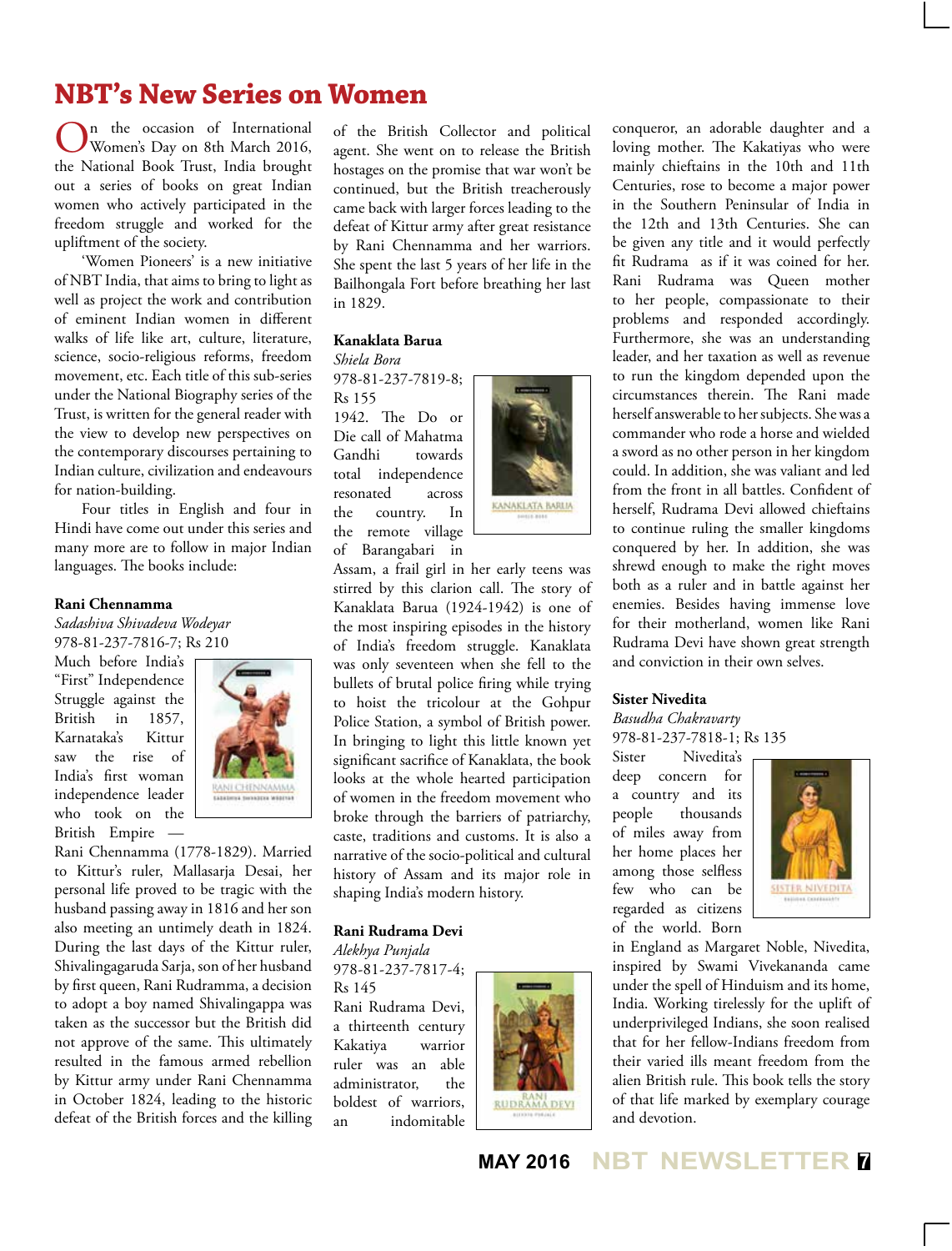## **NBT's New Series on Women**

On the occasion of International<br>Women's Day on 8th March 2016, the National Book Trust, India brought out a series of books on great Indian women who actively participated in the freedom struggle and worked for the upliftment of the society.

'Women Pioneers' is a new initiative of NBT India, that aims to bring to light as well as project the work and contribution of eminent Indian women in different walks of life like art, culture, literature, science, socio-religious reforms, freedom movement, etc. Each title of this sub-series under the National Biography series of the Trust, is written for the general reader with the view to develop new perspectives on the contemporary discourses pertaining to Indian culture, civilization and endeavours for nation-building.

Four titles in English and four in Hindi have come out under this series and many more are to follow in major Indian languages. The books include:

#### **Rani Chennamma**

*Sadashiva Shivadeva Wodeyar* 978-81-237-7816-7; Rs 210

Much before India's "First" Independence Struggle against the British in 1857, Karnataka's Kittur saw the rise of India's first woman independence leader who took on the British Empire —



Rani Chennamma (1778-1829). Married to Kittur's ruler, Mallasarja Desai, her personal life proved to be tragic with the husband passing away in 1816 and her son also meeting an untimely death in 1824. During the last days of the Kittur ruler, Shivalingagaruda Sarja, son of her husband by first queen, Rani Rudramma, a decision to adopt a boy named Shivalingappa was taken as the successor but the British did not approve of the same. This ultimately resulted in the famous armed rebellion by Kittur army under Rani Chennamma in October 1824, leading to the historic defeat of the British forces and the killing of the British Collector and political agent. She went on to release the British hostages on the promise that war won't be continued, but the British treacherously came back with larger forces leading to the defeat of Kittur army after great resistance by Rani Chennamma and her warriors. She spent the last 5 years of her life in the Bailhongala Fort before breathing her last in 1829.

#### **Kanaklata Barua**

*Shiela Bora* 978-81-237-7819-8;

Rs 155 1942. The Do or Die call of Mahatma Gandhi towards total independence resonated across the country. In the remote village of Barangabari in



Assam, a frail girl in her early teens was stirred by this clarion call. The story of Kanaklata Barua (1924-1942) is one of the most inspiring episodes in the history of India's freedom struggle. Kanaklata was only seventeen when she fell to the bullets of brutal police firing while trying to hoist the tricolour at the Gohpur Police Station, a symbol of British power. In bringing to light this little known yet significant sacrifice of Kanaklata, the book looks at the whole hearted participation of women in the freedom movement who broke through the barriers of patriarchy, caste, traditions and customs. It is also a narrative of the socio-political and cultural history of Assam and its major role in shaping India's modern history.

#### **Rani Rudrama Devi**

*Alekhya Punjala* 978-81-237-7817-4;

Rs 145 Rani Rudrama Devi,

a thirteenth century Kakatiya warrior ruler was an able administrator, the boldest of warriors, an indomitable



conqueror, an adorable daughter and a loving mother. The Kakatiyas who were mainly chieftains in the 10th and 11th Centuries, rose to become a major power in the Southern Peninsular of India in the 12th and 13th Centuries. She can be given any title and it would perfectly fit Rudrama as if it was coined for her. Rani Rudrama was Queen mother to her people, compassionate to their problems and responded accordingly. Furthermore, she was an understanding leader, and her taxation as well as revenue to run the kingdom depended upon the circumstances therein. The Rani made herself answerable to her subjects. She was a commander who rode a horse and wielded a sword as no other person in her kingdom could. In addition, she was valiant and led from the front in all battles. Confident of herself, Rudrama Devi allowed chieftains to continue ruling the smaller kingdoms conquered by her. In addition, she was shrewd enough to make the right moves both as a ruler and in battle against her enemies. Besides having immense love for their motherland, women like Rani Rudrama Devi have shown great strength

#### **Sister Nivedita**

#### *Basudha Chakravarty* 978-81-237-7818-1; Rs 135

and conviction in their own selves.

Sister Nivedita's deep concern for a country and its people thousands of miles away from her home places her among those selfless few who can be regarded as citizens of the world. Born



in England as Margaret Noble, Nivedita, inspired by Swami Vivekananda came under the spell of Hinduism and its home, India. Working tirelessly for the uplift of underprivileged Indians, she soon realised that for her fellow-Indians freedom from their varied ills meant freedom from the alien British rule. This book tells the story of that life marked by exemplary courage and devotion.

**MAY 2016 NBT NEWSLETTER <sup>7</sup>**